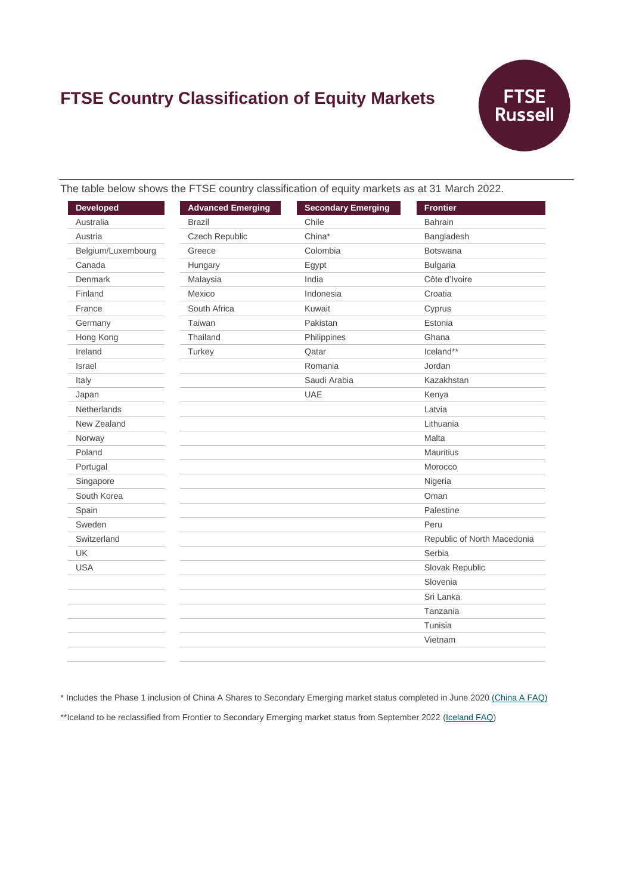# **FTSE Country Classification of Equity Markets**



The table below shows the FTSE country classification of equity markets as at 31 March 2022.

| <b>Developed</b>   | <b>Advanced Emerging</b> | <b>Secondary Emerging</b> | <b>Frontier</b>             |
|--------------------|--------------------------|---------------------------|-----------------------------|
| Australia          | <b>Brazil</b>            | Chile                     | <b>Bahrain</b>              |
| Austria            | Czech Republic           | China*                    | Bangladesh                  |
| Belgium/Luxembourg | Greece                   | Colombia                  | <b>Botswana</b>             |
| Canada             | Hungary                  | Egypt                     | <b>Bulgaria</b>             |
| Denmark            | Malaysia                 | India                     | Côte d'Ivoire               |
| Finland            | Mexico                   | Indonesia                 | Croatia                     |
| France             | South Africa             | Kuwait                    | Cyprus                      |
| Germany            | Taiwan                   | Pakistan                  | Estonia                     |
| Hong Kong          | Thailand                 | Philippines               | Ghana                       |
| Ireland            | Turkey                   | Qatar                     | Iceland**                   |
| Israel             |                          | Romania                   | Jordan                      |
| Italy              |                          | Saudi Arabia              | Kazakhstan                  |
| Japan              |                          | <b>UAE</b>                | Kenya                       |
| <b>Netherlands</b> |                          |                           | Latvia                      |
| New Zealand        |                          |                           | Lithuania                   |
| Norway             |                          |                           | Malta                       |
| Poland             |                          |                           | <b>Mauritius</b>            |
| Portugal           |                          |                           | Morocco                     |
| Singapore          |                          |                           | Nigeria                     |
| South Korea        |                          |                           | Oman                        |
| Spain              |                          |                           | Palestine                   |
| Sweden             |                          |                           | Peru                        |
| Switzerland        |                          |                           | Republic of North Macedonia |
| <b>UK</b>          |                          |                           | Serbia                      |
| <b>USA</b>         |                          |                           | Slovak Republic             |
|                    |                          |                           | Slovenia                    |
|                    |                          |                           | Sri Lanka                   |
|                    |                          |                           | Tanzania                    |
|                    |                          |                           | Tunisia                     |
|                    |                          |                           | Vietnam                     |
|                    |                          |                           |                             |

\* Includes the Phase 1 inclusion of China A Shares to Secondary Emerging market status completed in June 2020 [\(China A FAQ\)](https://research.ftserussell.com/products/downloads/FTSE_FAQ_Document_China_A.pdf)

\*\*Iceland to be reclassified from Frontier to Secondary Emerging market status from September 2022 [\(Iceland FAQ\)](https://research.ftserussell.com/products/downloads/FTSE_FAQ_Document_Iceland.pdf)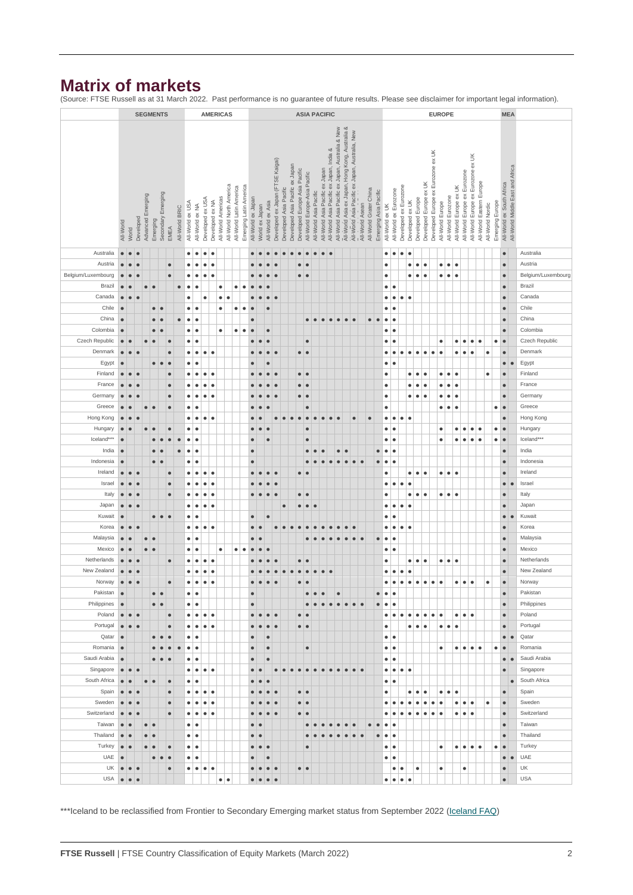## **Matrix of markets**

(Source: FTSE Russell as at 31 March 2022. Past performance is no guarantee of future results. Please see disclaimer for important legal information).

|                    |                  |           |           |                   |           | <b>SEGMENTS</b>    |            |                |                  |                 |                  |                    | <b>AMERICAS</b>         | <b>ASIA PACIFIC</b>     |                        |                    |                |                   |                                  |                        |                                 |                               |                               | <b>EUROPE</b>          |                                          |                                                  |                                                 |                                                 |                 |                        |                       |                 |                       |                        |                        |                        | <b>MEA</b>                         |                  |                         |                        |                              |                                       |                          |                  |                 |                           |                                  |                    |
|--------------------|------------------|-----------|-----------|-------------------|-----------|--------------------|------------|----------------|------------------|-----------------|------------------|--------------------|-------------------------|-------------------------|------------------------|--------------------|----------------|-------------------|----------------------------------|------------------------|---------------------------------|-------------------------------|-------------------------------|------------------------|------------------------------------------|--------------------------------------------------|-------------------------------------------------|-------------------------------------------------|-----------------|------------------------|-----------------------|-----------------|-----------------------|------------------------|------------------------|------------------------|------------------------------------|------------------|-------------------------|------------------------|------------------------------|---------------------------------------|--------------------------|------------------|-----------------|---------------------------|----------------------------------|--------------------|
|                    |                  |           |           |                   |           |                    |            |                |                  |                 |                  |                    |                         |                         |                        |                    |                |                   |                                  |                        |                                 |                               |                               |                        |                                          |                                                  |                                                 |                                                 |                 |                        |                       |                 |                       |                        |                        |                        |                                    |                  |                         |                        |                              |                                       |                          |                  |                 |                           |                                  |                    |
|                    |                  |           |           |                   |           |                    |            |                |                  |                 |                  |                    |                         |                         |                        |                    |                |                   |                                  |                        |                                 |                               |                               |                        |                                          | All-World Asia Pacific ex Japan, Australia & New | All-World Asia ex Japan, Hong Kong, Australia & |                                                 |                 |                        |                       |                 |                       |                        |                        |                        |                                    |                  |                         |                        |                              |                                       |                          |                  |                 |                           |                                  |                    |
|                    |                  |           |           |                   |           |                    |            |                |                  |                 |                  |                    |                         |                         |                        |                    |                |                   |                                  |                        |                                 |                               |                               |                        |                                          |                                                  |                                                 | All-World Asia Pacific ex Japan, Australia, New |                 |                        |                       |                 |                       |                        |                        |                        |                                    |                  |                         |                        |                              |                                       |                          |                  |                 |                           |                                  |                    |
|                    |                  |           |           |                   |           |                    |            |                |                  |                 |                  |                    |                         |                         |                        |                    |                |                   |                                  |                        |                                 |                               |                               |                        | All-World Asia Pacific ex Japan, India & |                                                  |                                                 |                                                 |                 |                        |                       |                 |                       |                        |                        |                        |                                    |                  |                         |                        |                              |                                       |                          |                  |                 |                           |                                  |                    |
|                    |                  |           |           |                   |           |                    |            |                |                  |                 |                  |                    |                         |                         |                        |                    |                |                   |                                  |                        |                                 |                               |                               |                        |                                          |                                                  |                                                 |                                                 |                 |                        |                       |                 |                       |                        |                        |                        |                                    |                  |                         |                        |                              |                                       |                          |                  |                 |                           |                                  |                    |
|                    |                  |           |           |                   |           |                    |            |                |                  |                 |                  |                    |                         |                         |                        |                    |                |                   | Developed ex Japan (FTSE Kaigai) |                        | Developed Asia Pacific ex Japan | Developed Europe Asia Pacific |                               |                        | All-World Asia Pacific ex Japan          |                                                  |                                                 |                                                 |                 |                        |                       |                 |                       |                        |                        |                        | Developed Europe ex Eurozone ex UK |                  |                         |                        |                              | All-World Europe ex Eurozone ex UK    |                          |                  |                 |                           | All-World Middle East and Africa |                    |
|                    |                  |           |           |                   |           |                    |            |                |                  |                 |                  |                    |                         |                         |                        |                    |                |                   |                                  |                        |                                 |                               | All-World Europe-Asia Pacific |                        |                                          |                                                  |                                                 |                                                 |                 |                        |                       |                 |                       |                        |                        |                        |                                    |                  |                         |                        | All-World Europe ex Eurozone |                                       |                          |                  |                 |                           |                                  |                    |
|                    |                  |           |           |                   |           |                    |            |                |                  |                 |                  |                    | All-World North America | All-World Latin America | Emerging Latin America |                    |                |                   |                                  | Developed Asia Pacific |                                 |                               |                               |                        |                                          |                                                  |                                                 |                                                 |                 |                        |                       |                 |                       | Developed ex Eurozone  |                        | Developed Europe ex UK |                                    |                  |                         | All-World Europe ex UK |                              |                                       | All-World Eastern Europe |                  |                 | All-World ex South Africa |                                  |                    |
|                    |                  |           |           | Advanced Emerging |           | Secondary Emerging |            |                |                  |                 | Developed ex USA | All-World Americas |                         |                         |                        | All-World ex Japan |                |                   |                                  |                        |                                 |                               |                               | All-World Asia Pacific |                                          |                                                  |                                                 |                                                 |                 | All-World Grater China | Emerging Asia Pacific |                 | All-World ex Eurozone |                        | Developed Europe       |                        |                                    |                  | All-World Eurozone      |                        |                              |                                       |                          |                  |                 |                           |                                  |                    |
|                    |                  |           |           |                   |           |                    |            |                |                  |                 |                  |                    |                         |                         |                        |                    |                |                   |                                  |                        |                                 |                               |                               |                        |                                          |                                                  |                                                 |                                                 |                 |                        |                       |                 |                       |                        |                        |                        |                                    |                  |                         |                        |                              |                                       |                          |                  |                 |                           |                                  |                    |
|                    |                  |           |           |                   |           |                    |            |                |                  |                 |                  |                    |                         |                         |                        |                    |                |                   |                                  |                        |                                 |                               |                               |                        |                                          |                                                  |                                                 |                                                 |                 |                        |                       |                 |                       |                        |                        |                        |                                    |                  |                         |                        |                              |                                       |                          |                  |                 |                           |                                  |                    |
|                    | All-World        | World     | Developed |                   | Emerging  |                    | EMEA       | All-World BRIC | All-World ex USA | All-World ex NA |                  | Developed ex NA    |                         |                         |                        |                    | World ex Japan | All-World ex Asia |                                  |                        |                                 |                               |                               |                        |                                          |                                                  |                                                 |                                                 | All-World Asean |                        |                       | All-World ex UK |                       |                        | Developed ex UK        |                        |                                    | All-World Europe |                         |                        |                              |                                       |                          | All-World Nordic | Emerging Europe |                           |                                  |                    |
|                    |                  |           |           |                   |           |                    |            |                |                  |                 |                  |                    |                         |                         |                        |                    |                |                   |                                  |                        |                                 |                               |                               |                        |                                          |                                                  |                                                 |                                                 |                 |                        |                       |                 |                       |                        |                        |                        |                                    |                  |                         |                        |                              |                                       |                          |                  |                 |                           |                                  |                    |
| Australia          | $\bullet$        | $\bullet$ | $\bullet$ |                   |           |                    |            |                | $\bullet$        | $\bullet$       | $\bullet$        | $\bullet$          |                         |                         |                        |                    |                |                   |                                  |                        |                                 |                               |                               |                        |                                          |                                                  |                                                 |                                                 |                 |                        |                       | $\bullet$       | $\bullet$             | $\bullet$              | $\bullet$              |                        |                                    |                  |                         |                        |                              |                                       |                          |                  |                 | $\bullet$                 |                                  | Australia          |
| Austria            | $\bullet$        |           |           |                   |           |                    | $\bullet$  |                | $\bullet$        | $\bullet$       | $\bullet$        | $\bullet$          |                         |                         |                        |                    |                |                   |                                  |                        |                                 | $\bullet$                     |                               |                        |                                          |                                                  |                                                 |                                                 |                 |                        |                       | $\bullet$       |                       |                        | $\bullet$<br>$\bullet$ | $\bullet$              |                                    |                  | $\bullet\bullet\bullet$ |                        |                              |                                       |                          |                  |                 | $\bullet$                 |                                  | Austria            |
|                    |                  |           |           |                   |           |                    |            |                |                  |                 |                  |                    |                         |                         |                        |                    |                |                   |                                  |                        |                                 |                               |                               |                        |                                          |                                                  |                                                 |                                                 |                 |                        |                       |                 |                       |                        |                        |                        |                                    |                  |                         |                        |                              |                                       |                          |                  |                 |                           |                                  |                    |
| Belgium/Luxembourg | $\bullet$        |           |           |                   |           |                    | ¢          |                | $\bullet$        | $\bullet$       | $\bullet$        | $\bullet$          |                         |                         |                        |                    |                |                   |                                  |                        |                                 | $\bullet$<br>$\epsilon$       |                               |                        |                                          |                                                  |                                                 |                                                 |                 |                        |                       | ٠               |                       |                        | $\bullet$<br>$\bullet$ | $\bullet$              |                                    | $\bullet$        | $\bullet$               | $\bullet$              |                              |                                       |                          |                  |                 | $\bullet$                 |                                  | Belgium/Luxembourg |
| Brazil             | $\bullet$        |           |           | $\bullet$         | $\bullet$ |                    |            | $\bullet$      | $\bullet$        | $\bullet$       |                  | $\bullet$          |                         | $\bullet$               | $\bullet$              | $\bullet$          |                |                   |                                  |                        |                                 |                               |                               |                        |                                          |                                                  |                                                 |                                                 |                 |                        |                       | $\bullet$       | $\bullet$             |                        |                        |                        |                                    |                  |                         |                        |                              |                                       |                          |                  |                 | $\bullet$                 |                                  | Brazil             |
| Canada             | $\bullet$        | $\bullet$ | $\bullet$ |                   |           |                    |            |                | $\bullet$        |                 | $\bullet$        | $\bullet$          | ٠                       |                         |                        | $\bullet$          |                | $\bullet$         | $\bullet$                        |                        |                                 |                               |                               |                        |                                          |                                                  |                                                 |                                                 |                 |                        |                       | $\bullet$       | $\bullet$             | $\bullet$<br>$\bullet$ |                        |                        |                                    |                  |                         |                        |                              |                                       |                          |                  |                 | $\bullet$                 |                                  | Canada             |
| Chile              | $\bullet$        |           |           |                   | $\bullet$ | $\bullet$          |            |                | $\bullet$        | $\bullet$       |                  | $\bullet$          |                         | ٠                       | $\bullet$              | $\bullet$          |                | $\bullet$         |                                  |                        |                                 |                               |                               |                        |                                          |                                                  |                                                 |                                                 |                 |                        |                       | ٠               | $\bullet$             |                        |                        |                        |                                    |                  |                         |                        |                              |                                       |                          |                  |                 | $\bullet$                 |                                  | Chile              |
| China              | $\bullet$        |           |           |                   | $\bullet$ | $\bullet$          |            | $\bullet$      | $\bullet$        | $\bullet$       |                  |                    |                         |                         |                        | $\bullet$          |                |                   |                                  |                        |                                 |                               | $\bullet$                     | $\bullet$              | $\bullet$<br>$\bullet$                   | $\bullet$                                        | $\bullet$                                       | $\bullet$                                       |                 | $\bullet$              | $\bullet$             | $\bullet$       | $\bullet$             |                        |                        |                        |                                    |                  |                         |                        |                              |                                       |                          |                  |                 | $\bullet$                 |                                  | China              |
| Colombia           | $\bullet$        |           |           |                   | $\bullet$ |                    |            |                | ٠                | $\bullet$       |                  | $\bullet$          |                         | ٠                       | $\bullet$              | $\bullet$          |                | $\bullet$         |                                  |                        |                                 |                               |                               |                        |                                          |                                                  |                                                 |                                                 |                 |                        |                       | $\bullet$       | $\bullet$             |                        |                        |                        |                                    |                  |                         |                        |                              |                                       |                          |                  |                 | $\bullet$                 |                                  | Colombia           |
| Czech Republic     | $\bullet$        | $\bullet$ |           |                   |           |                    | ¢          |                | $\bullet$        | $\bullet$       |                  |                    |                         |                         |                        |                    |                |                   |                                  |                        |                                 |                               | $\bullet$                     |                        |                                          |                                                  |                                                 |                                                 |                 |                        |                       | $\bullet$       | $\bullet$             |                        |                        |                        |                                    | $\bullet$        |                         | $\bullet$              | $\bullet$                    | $\bullet$                             | $\bullet$                |                  | $\bullet$       | $\bullet$                 |                                  | Czech Republic     |
| Denmark            | $\bullet$        | $\bullet$ |           |                   |           |                    | $\bullet$  |                | $\bullet$        | $\bullet$       | $\bullet$        | $\bullet$          |                         |                         |                        |                    |                |                   |                                  |                        |                                 | $\bullet$<br>$\bullet$        |                               |                        |                                          |                                                  |                                                 |                                                 |                 |                        |                       | ٠               | $\bullet$             | $\bullet$              | $\bullet$<br>$\bullet$ | $\bullet$              | $\bullet$                          | $\bullet$        |                         | $\bullet$              | $\bullet$                    | $\bullet$                             |                          | $\bullet$        |                 | $\bullet$                 |                                  | Denmark            |
|                    |                  |           |           |                   |           | $\bullet$          |            |                |                  |                 |                  |                    |                         |                         |                        | $\epsilon$         |                | ō                 |                                  |                        |                                 |                               |                               |                        |                                          |                                                  |                                                 |                                                 |                 |                        |                       |                 | $\bullet$             |                        |                        |                        |                                    |                  |                         |                        |                              |                                       |                          |                  |                 |                           | $\bullet$                        |                    |
| Egypt              | $\bullet$        |           |           |                   | $\bullet$ |                    | $\bullet$  |                | $\bullet$        | $\bullet$       |                  |                    |                         |                         |                        |                    |                |                   |                                  |                        |                                 |                               |                               |                        |                                          |                                                  |                                                 |                                                 |                 |                        |                       | $\bullet$       |                       |                        |                        |                        |                                    |                  |                         |                        |                              |                                       |                          |                  |                 | $\bullet$                 |                                  | Egypt              |
| Finland            | $\bullet$        | $\bullet$ | $\bullet$ |                   |           |                    | $\bullet$  |                | $\bullet$        | $\bullet$       | $\bullet$        | $\bullet$          |                         |                         |                        |                    |                |                   | $\bullet$                        |                        |                                 | $\bullet$<br>$\bullet$        |                               |                        |                                          |                                                  |                                                 |                                                 |                 |                        |                       | $\bullet$       |                       |                        | $\bullet$<br>$\bullet$ | $\bullet$              |                                    | $\bullet$        | $\bullet$               | $\bullet$              |                              |                                       |                          | $\bullet$        |                 | $\bullet$                 |                                  | Finland            |
| France             | $\bullet$        | $\bullet$ | $\bullet$ |                   |           |                    | $\bullet$  |                | $\bullet$        | $\bullet$       | $\bullet$        | $\bullet$          |                         |                         |                        |                    |                |                   |                                  |                        |                                 | $\bullet$<br>$\epsilon$       |                               |                        |                                          |                                                  |                                                 |                                                 |                 |                        |                       | ٠               |                       |                        | $\bullet$<br>٠         | $\bullet$              |                                    | $\bullet$        | $\bullet$               | $\bullet$              |                              |                                       |                          |                  |                 | $\bullet$                 |                                  | France             |
| Germany            | $\bullet$        | $\bullet$ | $\bullet$ |                   |           |                    | $\bullet$  |                | $\bullet$        | $\bullet$       | $\bullet$        | $\bullet$          |                         |                         |                        |                    |                |                   | $\epsilon$                       |                        |                                 | $\bullet$<br>$\bullet$        |                               |                        |                                          |                                                  |                                                 |                                                 |                 |                        |                       | ٠               |                       |                        | $\bullet$<br>$\bullet$ | $\bullet$              |                                    | $\bullet$        | $\bullet$               | $\bullet$              |                              |                                       |                          |                  |                 | $\bullet$                 |                                  | Germany            |
| Greece             | $\bullet$        |           |           | $\bullet$         | $\bullet$ |                    | $\bullet$  |                | ٠                | $\bullet$       |                  |                    |                         |                         |                        |                    | $\epsilon$     |                   |                                  |                        |                                 |                               | $\bullet$                     |                        |                                          |                                                  |                                                 |                                                 |                 |                        |                       | $\bullet$       |                       |                        |                        |                        |                                    | $\bullet$        | $\bullet$               | $\bullet$              |                              |                                       |                          |                  | ٠               | $\bullet$                 |                                  | Greece             |
| Hong Kong          | $\bullet$        | $\bullet$ |           |                   |           |                    |            |                | $\bullet$        | $\bullet$       | $\bullet$        | $\bullet$          |                         |                         |                        | $\bullet$          |                |                   | $\bullet$                        | $\bullet$              | $\bullet$                       | $\bullet$                     | $\bullet$                     | $\bullet$              | $\bullet$<br>$\bullet$                   | $\bullet$                                        |                                                 | $\bullet$                                       |                 | $\bullet$              |                       | $\bullet$       | $\bullet$             | $\bullet$<br>$\bullet$ |                        |                        |                                    |                  |                         |                        |                              |                                       |                          |                  |                 | $\bullet$                 |                                  | Hong Kong          |
| Hungary            | $\bullet$        | $\bullet$ |           | $\bullet$         |           |                    | $\bullet$  |                | $\bullet$        | $\bullet$       |                  |                    |                         |                         |                        | $\bullet$          |                |                   |                                  |                        |                                 |                               | $\bullet$                     |                        |                                          |                                                  |                                                 |                                                 |                 |                        |                       | ٠               | $\bullet$             |                        |                        |                        |                                    | $\bullet$        |                         | $\bullet$              | $\bullet$                    | $\bullet$                             | $\bullet$                |                  | $\bullet$       | $\bullet$                 |                                  | Hungary            |
| Iceland***         | $\bullet$        |           |           |                   | $\bullet$ |                    | $\bullet$  | $\bullet$      | $\bullet$        | $\bullet$       |                  |                    |                         |                         |                        |                    |                | $\bullet$         |                                  |                        |                                 |                               | $\bullet$                     |                        |                                          |                                                  |                                                 |                                                 |                 |                        |                       | $\bullet$       | $\bullet$             |                        |                        |                        |                                    | $\bullet$        |                         | $\bullet$              | $\bullet$                    | $\bullet$                             | $\bullet$                |                  | $\bullet$       | $\bullet$                 |                                  | Iceland***         |
| India              | $\bullet$        |           |           |                   | $\bullet$ |                    |            | $\bullet$      | $\bullet$        | $\bullet$       |                  |                    |                         |                         |                        | $\bullet$          |                |                   |                                  |                        |                                 |                               | $\bullet$                     |                        | $\bullet$                                | $\bullet$                                        | $\bullet$                                       |                                                 |                 |                        | $\bullet$             | $\bullet$       | $\bullet$             |                        |                        |                        |                                    |                  |                         |                        |                              |                                       |                          |                  |                 | $\bullet$                 |                                  | India              |
| Indonesia          | $\bullet$        |           |           |                   | $\bullet$ | $\bullet$          |            |                | $\bullet$        | $\bullet$       |                  |                    |                         |                         |                        | $\bullet$          |                |                   |                                  |                        |                                 |                               | $\bullet$                     |                        |                                          |                                                  |                                                 | $\bullet$                                       |                 |                        | $\bullet$             | $\bullet$       | $\bullet$             |                        |                        |                        |                                    |                  |                         |                        |                              |                                       |                          |                  |                 | $\bullet$                 |                                  | Indonesia          |
| Ireland            | $\bullet$        | $\bullet$ | $\bullet$ |                   |           |                    | $\bullet$  |                | $\bullet$        | $\bullet$       | $\bullet$        | $\bullet$          |                         |                         |                        |                    |                |                   |                                  |                        |                                 | $\bullet$<br>$\epsilon$       |                               |                        |                                          |                                                  |                                                 |                                                 |                 |                        |                       | ۰               |                       |                        | $\bullet$<br>$\bullet$ | $\bullet$              |                                    |                  | $\bullet\bullet\bullet$ |                        |                              |                                       |                          |                  |                 | $\bullet$                 |                                  | Ireland            |
| Israel             | $\bullet$        | $\bullet$ | $\bullet$ |                   |           |                    | $\bullet$  |                | $\bullet$        | $\bullet$       | $\bullet$        | $\bullet$          |                         |                         |                        |                    |                |                   | $\epsilon$                       |                        |                                 |                               |                               |                        |                                          |                                                  |                                                 |                                                 |                 |                        |                       | $\bullet$       | $\bullet$             | $\bullet$              | $\bullet$              |                        |                                    |                  |                         |                        |                              |                                       |                          |                  |                 | $\bullet$                 | $\epsilon$                       | Israel             |
| Italy              | $\bullet$        | $\bullet$ | $\bullet$ |                   |           |                    | $\bullet$  |                | $\bullet$        | $\bullet$       | $\bullet$        | $\bullet$          |                         |                         |                        | $\bullet$          |                |                   | $\epsilon$                       |                        |                                 | $\bullet$<br>$\bullet$        |                               |                        |                                          |                                                  |                                                 |                                                 |                 |                        |                       | $\bullet$       |                       |                        | $\bullet$<br>$\bullet$ | $\bullet$              |                                    |                  | $\bullet\bullet\bullet$ |                        |                              |                                       |                          |                  |                 | $\bullet$                 |                                  | Italy              |
| Japan              | $\bullet$        | $\bullet$ | $\bullet$ |                   |           |                    |            |                |                  | $\bullet$       |                  | $\bullet$          |                         |                         |                        |                    |                |                   |                                  | $\bullet$              |                                 | $\bullet$                     | $\bullet$                     |                        |                                          |                                                  |                                                 |                                                 |                 |                        |                       | ٠               |                       | $\bullet$              | $\bullet$              |                        |                                    |                  |                         |                        |                              |                                       |                          |                  |                 | $\bullet$                 |                                  |                    |
|                    |                  |           |           |                   |           |                    |            |                | $\bullet$        |                 | $\bullet$        |                    |                         |                         |                        |                    |                |                   |                                  |                        |                                 |                               |                               |                        |                                          |                                                  |                                                 |                                                 |                 |                        |                       |                 | $\bullet$             |                        |                        |                        |                                    |                  |                         |                        |                              |                                       |                          |                  |                 |                           |                                  | Japan              |
| Kuwait             | $\bullet$        |           |           |                   | $\bullet$ | $\bullet$          | $\bullet$  |                | $\bullet$        | $\bullet$       |                  |                    |                         |                         |                        | $\bullet$          |                | $\bullet$         |                                  |                        |                                 |                               |                               |                        |                                          |                                                  |                                                 |                                                 |                 |                        |                       | ٠               | $\bullet$             |                        |                        |                        |                                    |                  |                         |                        |                              |                                       |                          |                  |                 | $\bullet$                 |                                  | Kuwait             |
| Korea              | $\bullet$        | $\bullet$ | $\bullet$ |                   |           |                    |            |                | $\bullet$        | $\bullet$       | $\bullet$        | $\bullet$          |                         |                         |                        | $\bullet$          |                |                   | $\bullet$                        | $\bullet$              | $\bullet$                       | $\bullet$                     |                               |                        |                                          |                                                  |                                                 |                                                 |                 |                        |                       | $\bullet$       | $\bullet$             | $\bullet$              | $\bullet$              |                        |                                    |                  |                         |                        |                              |                                       |                          |                  |                 | $\bullet$                 |                                  | Korea              |
| Malaysia           | $\bullet$        | $\bullet$ |           | $\bullet$         | ۱e        |                    |            |                | $\bullet$        | $\bullet$       |                  |                    |                         |                         |                        | $\bullet$          | $\bullet$      |                   |                                  |                        |                                 |                               | $\bullet$                     |                        |                                          |                                                  |                                                 | $\bullet$                                       |                 |                        | $\bullet$             | $\bullet$       | $\bullet$             |                        |                        |                        |                                    |                  |                         |                        |                              |                                       |                          |                  |                 | $\bullet$                 |                                  | Malaysia           |
| Mexico             | $\bullet$        | $\bullet$ |           | $\bullet\bullet$  |           |                    |            |                | $\bullet$        | $\bullet$       |                  | $\bullet$          |                         | ٠                       | $\bullet$              |                    | $\bullet$      |                   |                                  |                        |                                 |                               |                               |                        |                                          |                                                  |                                                 |                                                 |                 |                        |                       | ٠               | $\bullet$             |                        |                        |                        |                                    |                  |                         |                        |                              |                                       |                          |                  |                 | $\bullet$                 |                                  | Mexico             |
| Netherlands        | $\bullet$        | $\bullet$ | $\bullet$ |                   |           |                    | $\bullet$  |                | ٠                | $\bullet$       | $\bullet$        | $\bullet$          |                         |                         |                        |                    |                |                   |                                  |                        |                                 | $\bullet$<br>$\bullet$        |                               |                        |                                          |                                                  |                                                 |                                                 |                 |                        |                       | $\bullet$       |                       |                        | $\bullet$<br>$\bullet$ | $\bullet$              |                                    |                  | $\bullet\bullet\bullet$ |                        |                              |                                       |                          |                  |                 | $\bullet$                 |                                  | Netherlands        |
| New Zealand        | $\bullet\bullet$ |           | $\bullet$ |                   |           |                    |            |                | $\bullet$        | $\bullet$       | $\bullet$        | $\bullet$          |                         |                         |                        |                    |                |                   |                                  | $\bullet$              | $\bullet$                       | $\bullet$                     | $\bullet$                     | $\bullet$              | $\bullet$<br>$\bullet$                   |                                                  |                                                 |                                                 |                 |                        |                       | $\bullet$       | $\bullet$             | $\bullet$              | $\bullet$              |                        |                                    |                  |                         |                        |                              |                                       |                          |                  |                 | $\bullet$                 |                                  | New Zealand        |
| Norway             |                  |           |           |                   |           |                    |            |                |                  |                 |                  |                    |                         |                         |                        |                    |                |                   |                                  |                        |                                 |                               |                               |                        |                                          |                                                  |                                                 |                                                 |                 |                        |                       |                 |                       |                        | ٠                      |                        |                                    |                  |                         |                        |                              |                                       |                          |                  |                 |                           |                                  | Norway             |
| Pakistan           | $\bullet$        |           |           |                   | $\bullet$ | $\bullet$          |            |                | $\bullet$        | $\bullet$       |                  |                    |                         |                         |                        | $\bullet$          |                |                   |                                  |                        |                                 |                               | $\bullet$                     | $\bullet$<br>$\bullet$ |                                          | $\bullet$                                        |                                                 |                                                 |                 |                        | $\bullet$             | $\bullet$       | $\bullet$             |                        |                        |                        |                                    |                  |                         |                        |                              |                                       |                          |                  |                 | $\bullet$                 |                                  | Pakistan           |
| Philippines        | $\bullet$        |           |           |                   | $\bullet$ | $\bullet$          |            |                | $\bullet$        | $\bullet$       |                  |                    |                         |                         |                        | $\bullet$          |                |                   |                                  |                        |                                 |                               | $\bullet$                     |                        | $\bullet$<br>$\bullet$                   | $\bullet$                                        | $\bullet$                                       | $\bullet$                                       | $\bullet$       |                        | $\bullet$             | $\bullet$       | $\bullet$             |                        |                        |                        |                                    |                  |                         |                        |                              |                                       |                          |                  |                 | $\bullet$                 |                                  | Philippines        |
| Poland             | $\bullet\bullet$ |           | $\bullet$ |                   |           |                    | $\bullet$  |                | $\bullet$        | $\bullet$       | $\bullet$        | $\bullet$          |                         |                         |                        | $\bullet$          | $\bullet$      | $\bullet$         | $\bullet$                        |                        |                                 | $\bullet$<br>$\epsilon$       |                               |                        |                                          |                                                  |                                                 |                                                 |                 |                        |                       | $\bullet$       | $\bullet$             | $\bullet$              | $\bullet$<br>$\bullet$ | $\bullet$              | $\bullet$                          | $\bullet$        |                         | $\bullet$              | $\bullet$                    | ٠                                     |                          |                  |                 | $\bullet$                 |                                  | Poland             |
| Portugal           | $\bullet$        | $\bullet$ | $\bullet$ |                   |           |                    | $\bullet$  |                | $\bullet$        | $\bullet$       | $\bullet$        | $\bullet$          |                         |                         |                        | $\bullet$          |                | $\bullet$         | $\bullet$                        |                        |                                 | $\bullet\,\vert\,\bullet$     |                               |                        |                                          |                                                  |                                                 |                                                 |                 |                        |                       | ٠               |                       |                        | $\bullet$<br>$\bullet$ | $\bullet$              |                                    | $\bullet$        | $\bullet$               | $\bullet$              |                              |                                       |                          |                  |                 | $\bullet$                 |                                  | Portugal           |
| Qatar              | $\bullet$        |           |           |                   | $\bullet$ | $\bullet$          | $\bullet$  |                | $\bullet$        | $\bullet$       |                  |                    |                         |                         |                        | $\bullet$          |                | $\bullet$         |                                  |                        |                                 |                               |                               |                        |                                          |                                                  |                                                 |                                                 |                 |                        |                       | ٠               | $\bullet$             |                        |                        |                        |                                    |                  |                         |                        |                              |                                       |                          |                  |                 | $\bullet$                 | $\bullet$                        | Qatar              |
| Romania            |                  |           |           |                   |           |                    |            |                |                  |                 |                  |                    |                         |                         |                        |                    |                |                   |                                  |                        |                                 |                               |                               |                        |                                          |                                                  |                                                 |                                                 |                 |                        |                       |                 |                       |                        |                        |                        |                                    |                  |                         | $\bullet$              |                              |                                       |                          |                  |                 |                           |                                  | Romania            |
|                    | $\bullet$        |           |           |                   | $\bullet$ |                    | $\bullet$  | $\bullet$      | $\bullet$        | $\bullet$       |                  |                    |                         |                         |                        | $\bullet$          |                | $\bullet$         |                                  |                        |                                 |                               | $\bullet$                     |                        |                                          |                                                  |                                                 |                                                 |                 |                        |                       | $\bullet$       | $\bullet$             |                        |                        |                        |                                    | $\bullet$        |                         |                        | $\bullet$                    | l۰                                    | $\bullet$                |                  | $\bullet$       | $\bullet$                 |                                  |                    |
| Saudi Arabia       | $\bullet$        |           |           |                   | $\bullet$ | $\bullet$          | $\epsilon$ |                | ٠                | $\bullet$       |                  |                    |                         |                         |                        | $\bullet$          |                | $\bullet$         |                                  |                        |                                 |                               |                               |                        |                                          |                                                  |                                                 |                                                 |                 |                        |                       | $\bullet$       | $\bullet$             |                        |                        |                        |                                    |                  |                         |                        |                              |                                       |                          |                  |                 | $\bullet$                 | $\bullet$                        | Saudi Arabia       |
| Singapore          | $\bullet\bullet$ |           | $\bullet$ |                   |           |                    |            |                | $\bullet$        | $\bullet$       | $\bullet$        | $\bullet$          |                         |                         |                        | $\bullet$          | $\bullet$      |                   | $\bullet$                        | $\bullet$              | $\bullet$                       | $\bullet$                     | $\bullet$                     | $\bullet$<br>$\bullet$ | $\bullet$                                | $\bullet$                                        | $\bullet$                                       | $\bullet$                                       |                 |                        |                       | $\bullet$       | $\bullet$             | $\bullet$              | $\bullet$              |                        |                                    |                  |                         |                        |                              |                                       |                          |                  |                 | $\bullet$                 |                                  | Singapore          |
| South Africa       | $\bullet$        |           |           | $\bullet$         | $\bullet$ |                    | $\bullet$  |                | $\bullet$        | $\bullet$       |                  |                    |                         |                         |                        | $\bullet$          | $\bullet$      |                   |                                  |                        |                                 |                               |                               |                        |                                          |                                                  |                                                 |                                                 |                 |                        |                       | $\bullet$       | $\bullet$             |                        |                        |                        |                                    |                  |                         |                        |                              |                                       |                          |                  |                 |                           | $\bullet$                        | South Africa       |
| Spain              | $\bullet$        | $\bullet$ |           |                   |           |                    | $\bullet$  |                | $\bullet$        | $\bullet$       | $\bullet$        | $\bullet$          |                         |                         |                        |                    |                |                   |                                  |                        |                                 | $\bullet$<br>$\bullet$        |                               |                        |                                          |                                                  |                                                 |                                                 |                 |                        |                       | $\bullet$       |                       |                        | $\bullet$<br>$\bullet$ | $\bullet$              |                                    | $\bullet$        | $\bullet$               | $\bullet$              |                              |                                       |                          |                  |                 | $\bullet$                 |                                  | Spain              |
| Sweden             | $\bullet$        | $\bullet$ | $\bullet$ |                   |           |                    | $\bullet$  |                | ٠                | $\bullet$       | $\bullet$        | $\bullet$          |                         |                         |                        |                    |                |                   |                                  |                        |                                 | $\bullet$<br>$\bullet$        |                               |                        |                                          |                                                  |                                                 |                                                 |                 |                        |                       | ۰               |                       | $\bullet$              | $\bullet$              | $\bullet$              | $\bullet$                          |                  |                         | $\bullet$              | $\bullet$                    | $\bullet$                             |                          | $\bullet$        |                 | $\bullet$                 |                                  | Sweden             |
| Switzerland        | $\bullet$        | $\bullet$ | $\bullet$ |                   |           |                    | $\bullet$  |                | ٠                | $\bullet$       | $\bullet$        | $\bullet$          |                         |                         |                        | $\bullet$          | $\bullet$      |                   | $\bullet$                        |                        |                                 | $\bullet$<br>۱e               |                               |                        |                                          |                                                  |                                                 |                                                 |                 |                        |                       | ٠               | $\bullet$             | $\bullet$              | $\bullet$<br>$\bullet$ | $\bullet$              | $\bullet$                          | $\bullet$        |                         | $\bullet$              | $\bullet$                    | ∣●                                    |                          |                  |                 | $\bullet$                 |                                  | Switzerland        |
| Taiwan             | $\bullet$        | $\bullet$ |           | $\bullet\bullet$  |           |                    |            |                | $\bullet$        | $\bullet$       |                  |                    |                         |                         |                        | $\bullet$          | $\epsilon$     |                   |                                  |                        |                                 |                               | $\bullet$                     |                        |                                          | $\bullet$                                        | $\bullet$                                       | $\bullet$                                       |                 | $\bullet$              | $\bullet$             | $\bullet$       | ٠                     |                        |                        |                        |                                    |                  |                         |                        |                              |                                       |                          |                  |                 | $\bullet$                 |                                  | Taiwan             |
| Thailand           | $\bullet$        | ه ا       |           | $\bullet$         | ۱o        |                    |            |                | $\bullet$        | $\bullet$       |                  |                    |                         |                         |                        | $\bullet$          | $\bullet$      |                   |                                  |                        |                                 |                               | $\bullet$                     |                        |                                          |                                                  |                                                 | $\bullet$                                       |                 |                        | $\bullet$             | $\bullet$       | $\bullet$             |                        |                        |                        |                                    |                  |                         |                        |                              |                                       |                          |                  |                 | $\bullet$                 |                                  | Thailand           |
| Turkey             | $\bullet\bullet$ |           |           | $\bullet$         | l o       |                    | $\bullet$  |                | $\bullet$        | $\bullet$       |                  |                    |                         |                         |                        | $\bullet$          | $\bullet$      | $\bullet$         |                                  |                        |                                 |                               | $\bullet$                     |                        |                                          |                                                  |                                                 |                                                 |                 |                        |                       | $\bullet$       | $\bullet$             |                        |                        |                        |                                    | $\bullet$        |                         |                        |                              | $\bullet\bullet\bullet\bullet\bullet$ |                          |                  | $\bullet$       | $\bullet$                 |                                  | Turkey             |
| UAE                | $\bullet$        |           |           |                   | $\bullet$ | $\bullet$          | $\bullet$  |                | $\bullet$        | $\bullet$       |                  |                    |                         |                         |                        | $\bullet$          |                | $\bullet$         |                                  |                        |                                 |                               |                               |                        |                                          |                                                  |                                                 |                                                 |                 |                        |                       | $\bullet$       | $\bullet$             |                        |                        |                        |                                    |                  |                         |                        |                              |                                       |                          |                  |                 | $\bullet$                 | $\bullet$                        | UAE                |
| UK                 | $\bullet$        | $\bullet$ | $\bullet$ |                   |           |                    | $\bullet$  |                | $\bullet$        | $\bullet$       | $\bullet$        | $\bullet$          |                         |                         |                        |                    | $\bullet$      | $\bullet$         | $\epsilon$                       |                        |                                 | $\bullet$<br>$\bullet$        |                               |                        |                                          |                                                  |                                                 |                                                 |                 |                        |                       |                 | $\bullet$             | $\bullet$              | $\bullet$              |                        |                                    | $\bullet$        |                         |                        | $\bullet$                    |                                       |                          |                  |                 | $\bullet$                 |                                  | UK                 |
| USA                | $\bullet$        | $\bullet$ | $\bullet$ |                   |           |                    |            |                |                  |                 |                  |                    | $\bullet$<br>$\bullet$  |                         |                        | $\bullet$          | $\bullet$      | $\bullet$         | $\bullet$                        |                        |                                 |                               |                               |                        |                                          |                                                  |                                                 |                                                 |                 |                        |                       | $\bullet$       | $\bullet$             | $\bullet$              | $\bullet$              |                        |                                    |                  |                         |                        |                              |                                       |                          |                  |                 | $\bullet$                 |                                  | <b>USA</b>         |

\*\*\*Iceland to be reclassified from Frontier to Secondary Emerging market status from September 2022 [\(Iceland FAQ\)](https://research.ftserussell.com/products/downloads/FTSE_FAQ_Document_Iceland.pdf)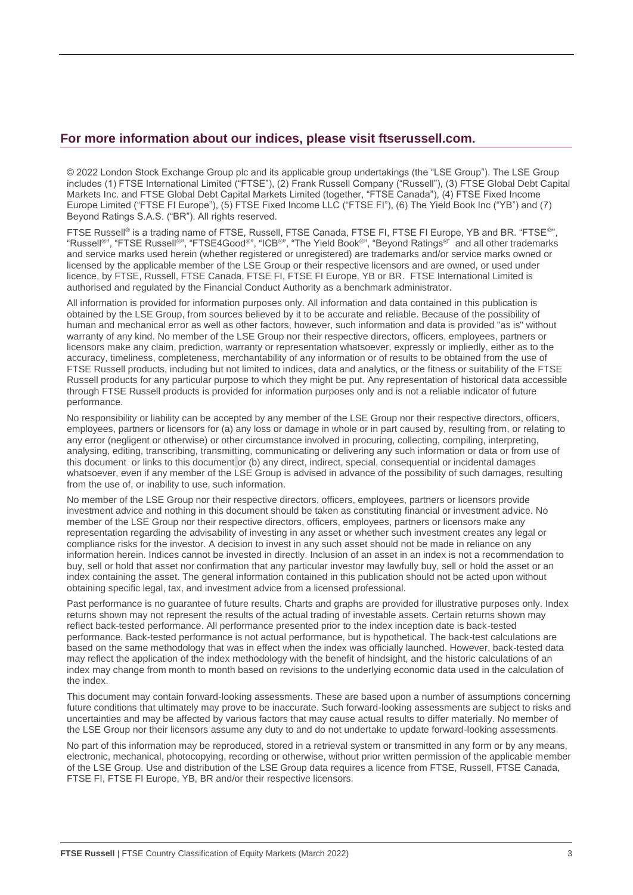### **For more information about our indices, please visit ftserussell.com.**

© 2022 London Stock Exchange Group plc and its applicable group undertakings (the "LSE Group"). The LSE Group includes (1) FTSE International Limited ("FTSE"), (2) Frank Russell Company ("Russell"), (3) FTSE Global Debt Capital Markets Inc. and FTSE Global Debt Capital Markets Limited (together, "FTSE Canada"), (4) FTSE Fixed Income Europe Limited ("FTSE FI Europe"), (5) FTSE Fixed Income LLC ("FTSE FI"), (6) The Yield Book Inc ("YB") and (7) Beyond Ratings S.A.S. ("BR"). All rights reserved.

FTSE Russell<sup>®</sup> is a trading name of FTSE, Russell, FTSE Canada, FTSE FI, FTSE FI Europe, YB and BR. "FTSE®", "Russell®", "FTSE Russell®", "FTSE4Good®", "ICB®", "The Yield Book®", "Beyond Ratings®" and all other trademarks and service marks used herein (whether registered or unregistered) are trademarks and/or service marks owned or licensed by the applicable member of the LSE Group or their respective licensors and are owned, or used under licence, by FTSE, Russell, FTSE Canada, FTSE FI, FTSE FI Europe, YB or BR. FTSE International Limited is authorised and regulated by the Financial Conduct Authority as a benchmark administrator.

All information is provided for information purposes only. All information and data contained in this publication is obtained by the LSE Group, from sources believed by it to be accurate and reliable. Because of the possibility of human and mechanical error as well as other factors, however, such information and data is provided "as is" without warranty of any kind. No member of the LSE Group nor their respective directors, officers, employees, partners or licensors make any claim, prediction, warranty or representation whatsoever, expressly or impliedly, either as to the accuracy, timeliness, completeness, merchantability of any information or of results to be obtained from the use of FTSE Russell products, including but not limited to indices, data and analytics, or the fitness or suitability of the FTSE Russell products for any particular purpose to which they might be put. Any representation of historical data accessible through FTSE Russell products is provided for information purposes only and is not a reliable indicator of future performance.

No responsibility or liability can be accepted by any member of the LSE Group nor their respective directors, officers, employees, partners or licensors for (a) any loss or damage in whole or in part caused by, resulting from, or relating to any error (negligent or otherwise) or other circumstance involved in procuring, collecting, compiling, interpreting, analysing, editing, transcribing, transmitting, communicating or delivering any such information or data or from use of this document or links to this document or (b) any direct, indirect, special, consequential or incidental damages whatsoever, even if any member of the LSE Group is advised in advance of the possibility of such damages, resulting from the use of, or inability to use, such information.

No member of the LSE Group nor their respective directors, officers, employees, partners or licensors provide investment advice and nothing in this document should be taken as constituting financial or investment advice. No member of the LSE Group nor their respective directors, officers, employees, partners or licensors make any representation regarding the advisability of investing in any asset or whether such investment creates any legal or compliance risks for the investor. A decision to invest in any such asset should not be made in reliance on any information herein. Indices cannot be invested in directly. Inclusion of an asset in an index is not a recommendation to buy, sell or hold that asset nor confirmation that any particular investor may lawfully buy, sell or hold the asset or an index containing the asset. The general information contained in this publication should not be acted upon without obtaining specific legal, tax, and investment advice from a licensed professional.

Past performance is no guarantee of future results. Charts and graphs are provided for illustrative purposes only. Index returns shown may not represent the results of the actual trading of investable assets. Certain returns shown may reflect back-tested performance. All performance presented prior to the index inception date is back-tested performance. Back-tested performance is not actual performance, but is hypothetical. The back-test calculations are based on the same methodology that was in effect when the index was officially launched. However, back-tested data may reflect the application of the index methodology with the benefit of hindsight, and the historic calculations of an index may change from month to month based on revisions to the underlying economic data used in the calculation of the index.

This document may contain forward-looking assessments. These are based upon a number of assumptions concerning future conditions that ultimately may prove to be inaccurate. Such forward-looking assessments are subject to risks and uncertainties and may be affected by various factors that may cause actual results to differ materially. No member of the LSE Group nor their licensors assume any duty to and do not undertake to update forward-looking assessments.

No part of this information may be reproduced, stored in a retrieval system or transmitted in any form or by any means, electronic, mechanical, photocopying, recording or otherwise, without prior written permission of the applicable member of the LSE Group. Use and distribution of the LSE Group data requires a licence from FTSE, Russell, FTSE Canada, FTSE FI, FTSE FI Europe, YB, BR and/or their respective licensors.